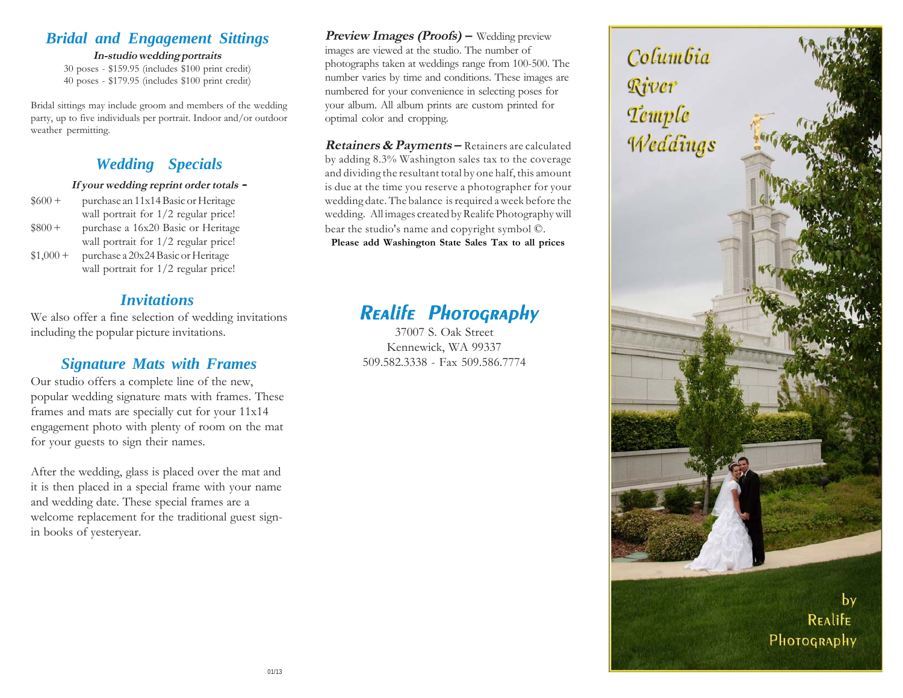## *Bridal and Engagement Sittings*

**In-studio wedding portraits** 30 poses - \$159.95 (includes \$100 print credit) 40 poses - \$179.95 (includes \$100 print credit)

Bridal sittings may include groom and members of the wedding party, up to five individuals per portrait. Indoor and/or outdoor weather permitting.

# *Wedding Specials*

#### **If your wedding reprint order totals -**

| $$600 +$  | purchase an 11x14 Basic or Heritage    |
|-----------|----------------------------------------|
|           | wall portrait for $1/2$ regular price! |
| $$800 +$  | purchase a 16x20 Basic or Heritage     |
|           | wall portrait for $1/2$ regular price! |
| $$1,000+$ | purchase a 20x24 Basic or Heritage     |
|           | wall portrait for $1/2$ regular price! |

## *Invitations*

We also offer a fine selection of wedding invitations including the popular picture invitations.

## *Signature Mats with Frames*

Our studio offers a complete line of the new, popular wedding signature mats with frames. These frames and mats are specially cut for your 11x14 engagement photo with plenty of room on the mat for your guests to sign their names.

After the wedding, glass is placed over the mat and it is then placed in a special frame with your name and wedding date. These special frames are a welcome replacement for the traditional guest signin books of yesteryear.

**Preview Images (Proofs)** – Wedding preview images are viewed at the studio. The number of photographs taken at weddings range from 100-500. The number varies by time and conditions. These images are numbered for your convenience in selecting poses for your album. All album prints are custom printed for optimal color and cropping.

**Retainers & Payments –** Retainers are calculated by adding 8.3% Washington sales tax to the coverage and dividing the resultant total by one half, this amount is due at the time you reserve a photographer for your wedding date. The balance is required a week before the wedding. All images created by Realife Photography will bear the studio's name and copyright symbol ©. **Please add Washington State Sales Tax to all prices**

# Realife Photography

37007 S. Oak Street Kennewick, WA 99337 509.582.3338 - Fax 509.586.7774